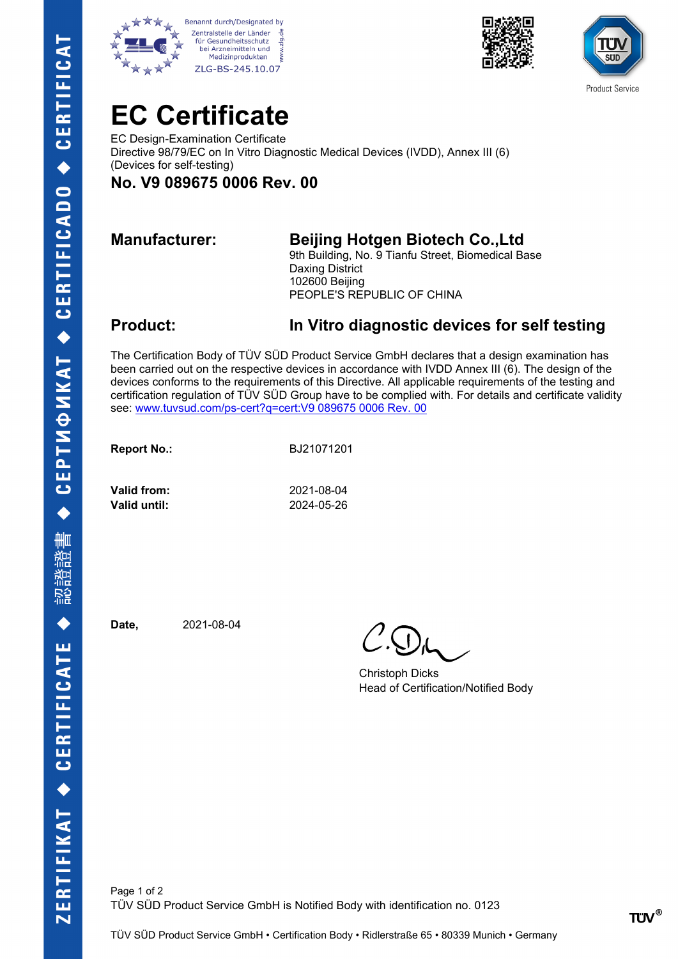







## **EC Certificate**

EC Design-Examination Certificate Directive 98/79/EC on In Vitro Diagnostic Medical Devices (IVDD), Annex III (6) (Devices for self-testing)

## **No. V9 089675 0006 Rev. 00**

### **Manufacturer: Beijing Hotgen Biotech Co.,Ltd**

9th Building, No. 9 Tianfu Street, Biomedical Base Daxing District 102600 Beijing PEOPLE'S REPUBLIC OF CHINA

### **Product: In Vitro diagnostic devices for self testing**

The Certification Body of TÜV SÜD Product Service GmbH declares that a design examination has been carried out on the respective devices in accordance with IVDD Annex III (6). The design of the devices conforms to the requirements of this Directive. All applicable requirements of the testing and certification regulation of TÜV SÜD Group have to be complied with. For details and certificate validity see: [www.tuvsud.com/ps-cert?q=cert:V9 089675 0006 Rev. 00](http://www.tuvsud.com/ps-cert?q=cert:V9%20089675%200006%20Rev.%2000) 

**Report No.:** BJ21071201

**Valid from:** 2021-08-04 **Valid until:** 2024-05-26

**Date,** 2021-08-04

Christoph Dicks Head of Certification/Notified Body